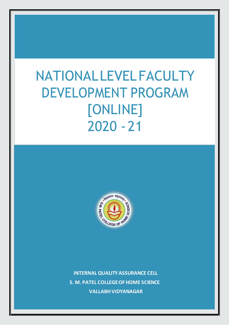## NATIONALLEVEL FACULTY DEVELOPMENT PROGRAM [ONLINE] 2020 - 21



**INTERNAL QUALITY ASSURANCE CELL S. M. PATEL COLLEGE OF HOME SCIENCE VALLABH VIDYANAGAR**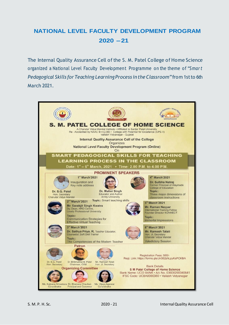## **NATIONAL LEVEL FACULTY DEVELOPMENT PROGRAM 2020 –21**

The Internal Quality Assurance Cell of the S. M. Patel College of Home Science organized a National Level Faculty Development Programme on the theme of *"Smar t Pedagogical Skills for Teaching LearningProcess in the Classroom"*from 1stto 6th March 2021.

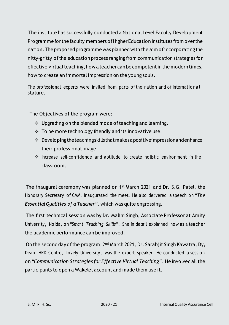The institute has successfully conducted a National Level Faculty Development Programme forthe faculty members ofHigherEducation Institutes from overthe nation.The proposed programme was plannedwith the aim ofincorporating the nitty-gritty ofthe education process ranging from communication strategies for effective virtual teaching, how a teacher can be competent in the modern times, how to create an immortal impression on the young souls.

The professional experts were invited from parts of the nation and of internatio na l stature.

The Objectives of the program were:

- $\cdot$  Upgrading on the blended mode of teaching and learning.
- $\div$  To be more technology friendly and its innovative use.
- ❖ Developingtheteachingskillsthatmakesapositiveimpressionandenhance their professionalimage.
- ❖ Increase self-confidence and aptitude to create holistic environment in the classroom.

The inaugural ceremony was planned on 1st March 2021 and Dr. S.G. Patel, the Honorary Secretary of CVM, inaugurated the meet. He also delivered a speech on *"The EssentialQualities of a Teacher"*, which was quite engrossing.

The first technical session was by Dr. Malini Singh, Associate Professor at Amity University, Noida, on *"Smart Teaching Skills"*. She in detail explained how as a teacher the academic performance can be improved.

On the secondday ofthe program, 2nd March 2021, Dr. Sarabjit Singh Kawatra, Dy, Dean, HRD Centre, Lovely University, was the expert speaker. He conducted a session on *"Communication Strategies for Effective Virtual Teaching".* He involved all the participants to open a Wakelet account and made them use it.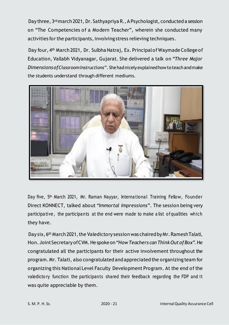Day three, 3<sup>rd</sup> march 2021, Dr. Sathyapriya R., A Psychologist, conducted a session on "The Competencies of a Modern Teacher", wherein she conducted many activities for the participants, involving stress relieving techniques.

Day four, 4th March 2021, Dr. Sulbha Natraj, Ex. PrincipalofWaymade College of Education, Vallabh Vidyanagar, Gujarat. She delivered a talk on *"Three Major DimensionsofClassroomInstructions"*. Shehadnicelyexplainedhowtoteachandmake the students understand through different mediums.



Day five, 5<sup>th</sup> March 2021, Mr. Raman Nayyar, International Training Fellow, Founder Direct KONNECT, talked about *"Immortal Impressions*". The session being very participative, the participants at the end were made to make a list of qualities which they have.

Day six, 6<sup>th</sup> March 2021, the Valedictory session was chaired by Mr. Ramesh Talati, Hon. JointSecretary ofCVM.He spoke on*"HowTeachers canThinkOut ofBox".*He congratulated all the participants for their active involvement throughout the program.Mr.Talati, also congratulated andappreciated the organizing team for organizing this National Level Faculty Development Program. At the end ofthe valedicto ry function the participants shared their feedback regarding the FDP and it was quite appreciable by them.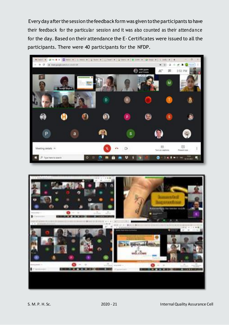Every day after the session the feedback form was given to the participants to have their feedback for the particular session and it was also counted as their attendance for the day. Based on their attendance the E- Certificates were issued to all the participants. There were 40 participants for the NFDP.



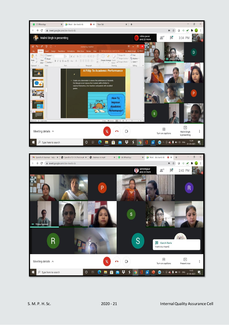